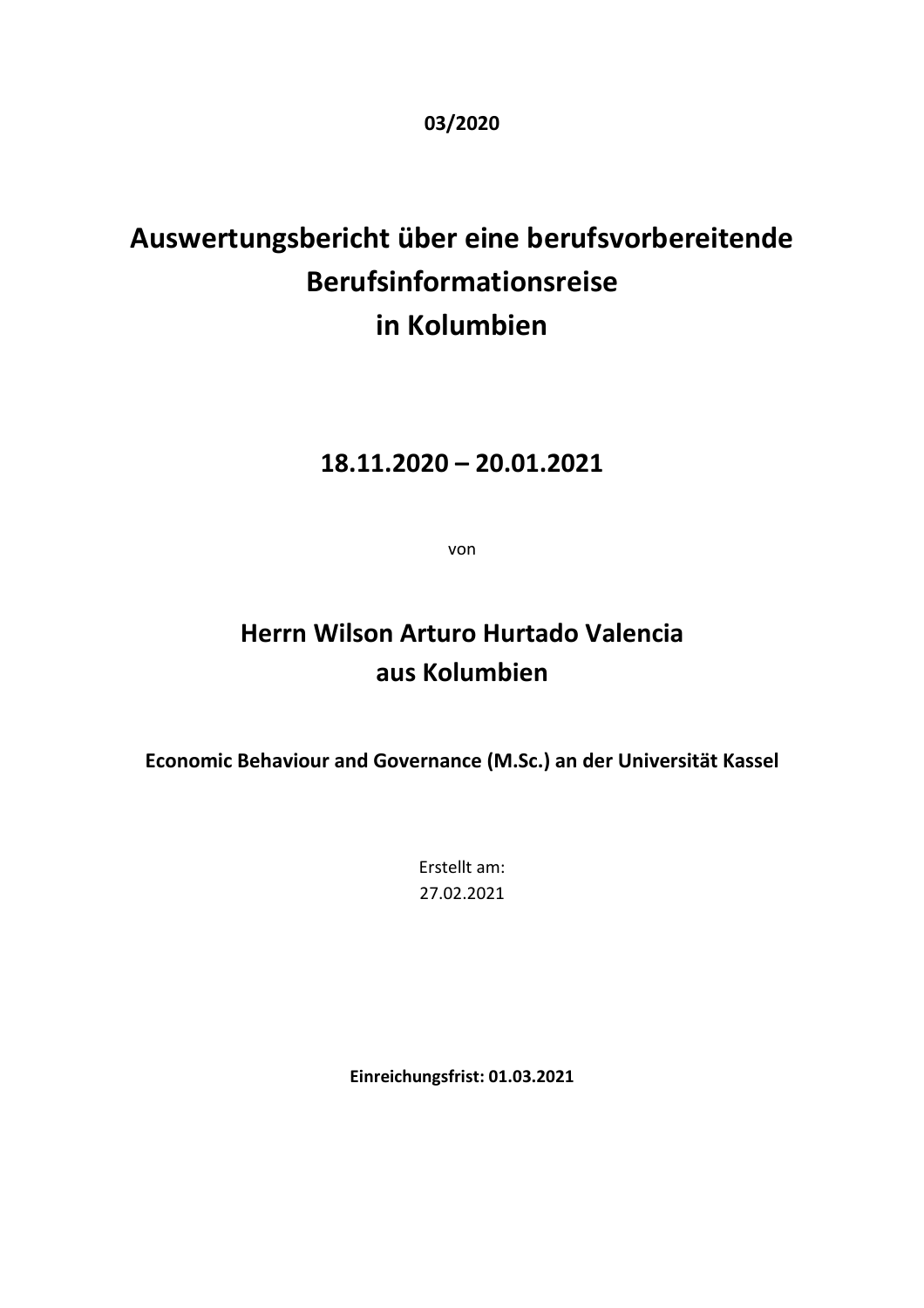**03/2020** 

# **Auswertungsbericht über eine berufsvorbereitende Berufsinformationsreise in Kolumbien**

### **18.11.2020 – 20.01.2021**

von

## **Herrn Wilson Arturo Hurtado Valencia aus Kolumbien**

**Economic Behaviour and Governance (M.Sc.) an der Universität Kassel** 

Erstellt am: 27.02.2021

**Einreichungsfrist: 01.03.2021**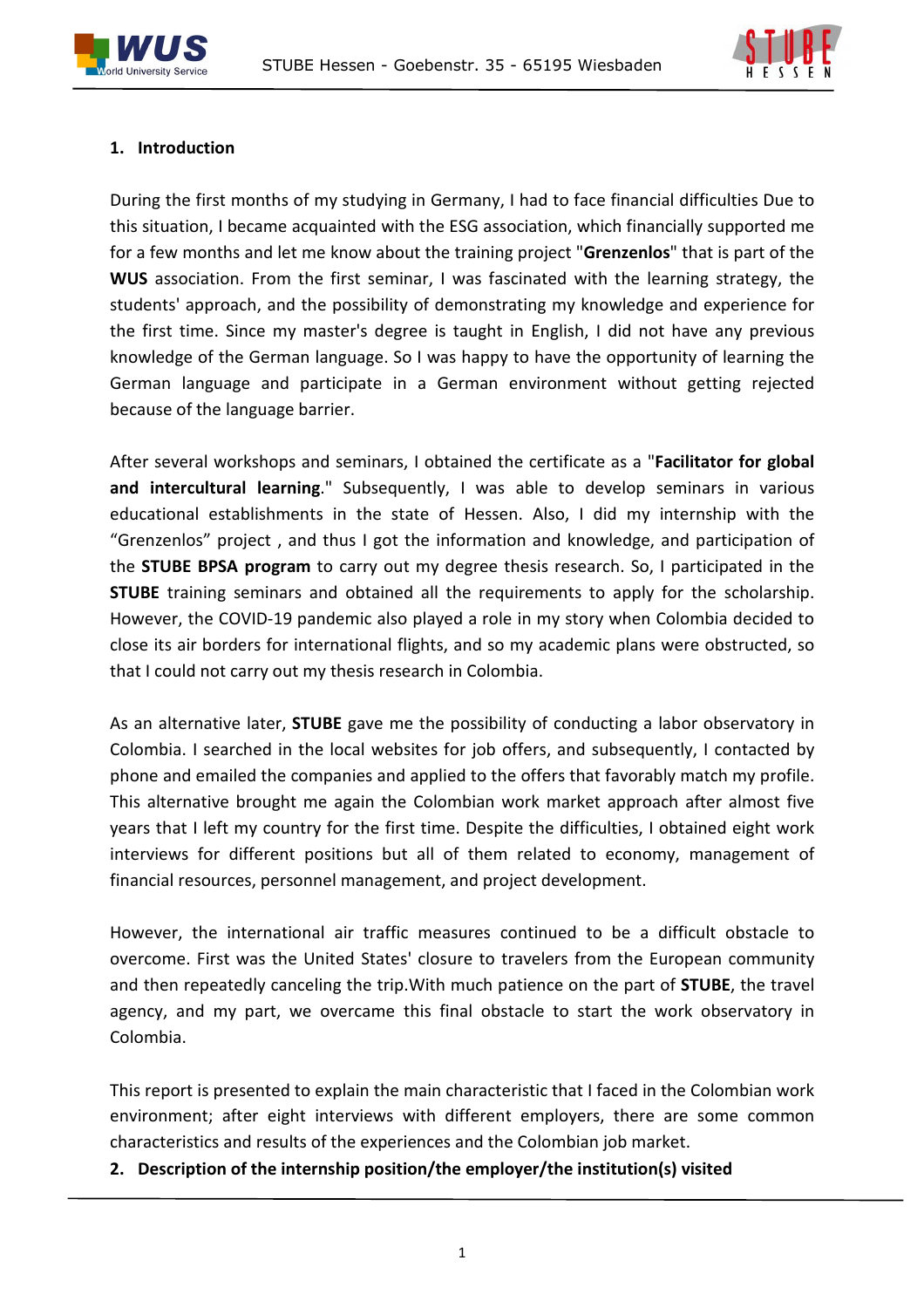



#### **1. Introduction**

During the first months of my studying in Germany, I had to face financial difficulties Due to this situation, I became acquainted with the ESG association, which financially supported me for a few months and let me know about the training project "**Grenzenlos**" that is part of the **WUS** association. From the first seminar, I was fascinated with the learning strategy, the students' approach, and the possibility of demonstrating my knowledge and experience for the first time. Since my master's degree is taught in English, I did not have any previous knowledge of the German language. So I was happy to have the opportunity of learning the German language and participate in a German environment without getting rejected because of the language barrier.

After several workshops and seminars, I obtained the certificate as a "**Facilitator for global and intercultural learning**." Subsequently, I was able to develop seminars in various educational establishments in the state of Hessen. Also, I did my internship with the "Grenzenlos" project , and thus I got the information and knowledge, and participation of the **STUBE BPSA program** to carry out my degree thesis research. So, I participated in the **STUBE** training seminars and obtained all the requirements to apply for the scholarship. However, the COVID-19 pandemic also played a role in my story when Colombia decided to close its air borders for international flights, and so my academic plans were obstructed, so that I could not carry out my thesis research in Colombia.

As an alternative later, **STUBE** gave me the possibility of conducting a labor observatory in Colombia. I searched in the local websites for job offers, and subsequently, I contacted by phone and emailed the companies and applied to the offers that favorably match my profile. This alternative brought me again the Colombian work market approach after almost five years that I left my country for the first time. Despite the difficulties, I obtained eight work interviews for different positions but all of them related to economy, management of financial resources, personnel management, and project development.

However, the international air traffic measures continued to be a difficult obstacle to overcome. First was the United States' closure to travelers from the European community and then repeatedly canceling the trip.With much patience on the part of **STUBE**, the travel agency, and my part, we overcame this final obstacle to start the work observatory in Colombia.

This report is presented to explain the main characteristic that I faced in the Colombian work environment; after eight interviews with different employers, there are some common characteristics and results of the experiences and the Colombian job market.

**2. Description of the internship position/the employer/the institution(s) visited**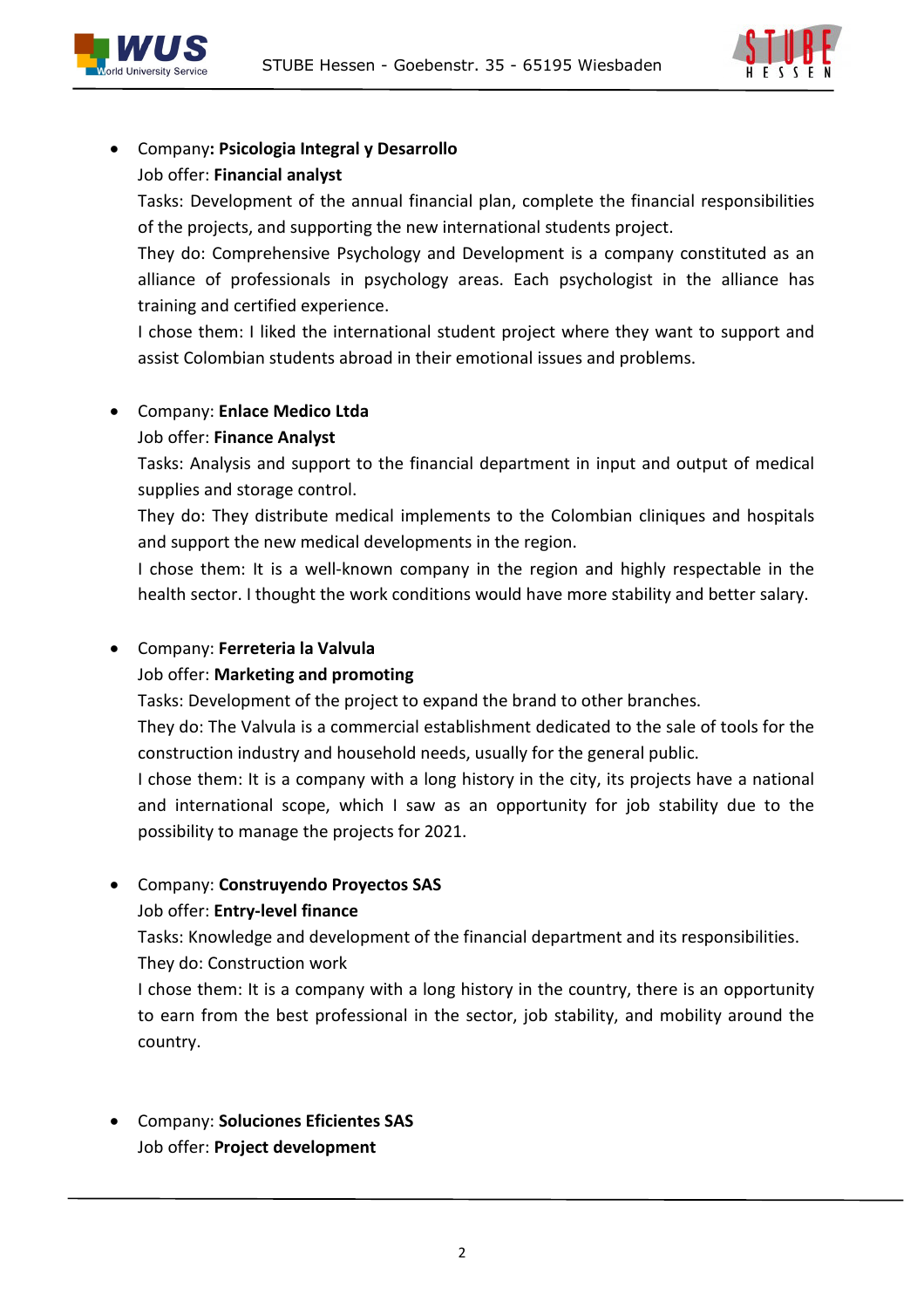



#### Company**: Psicologia Integral y Desarrollo** Job offer: **Financial analyst**

Tasks: Development of the annual financial plan, complete the financial responsibilities of the projects, and supporting the new international students project.

They do: Comprehensive Psychology and Development is a company constituted as an alliance of professionals in psychology areas. Each psychologist in the alliance has training and certified experience.

I chose them: I liked the international student project where they want to support and assist Colombian students abroad in their emotional issues and problems.

#### Company: **Enlace Medico Ltda** Job offer: **Finance Analyst**

Tasks: Analysis and support to the financial department in input and output of medical supplies and storage control.

They do: They distribute medical implements to the Colombian cliniques and hospitals and support the new medical developments in the region.

I chose them: It is a well-known company in the region and highly respectable in the health sector. I thought the work conditions would have more stability and better salary.

#### Company: **Ferreteria la Valvula**

#### Job offer: **Marketing and promoting**

Tasks: Development of the project to expand the brand to other branches.

They do: The Valvula is a commercial establishment dedicated to the sale of tools for the construction industry and household needs, usually for the general public.

I chose them: It is a company with a long history in the city, its projects have a national and international scope, which I saw as an opportunity for job stability due to the possibility to manage the projects for 2021.

#### Company: **Construyendo Proyectos SAS**

#### Job offer: **Entry-level finance**

Tasks: Knowledge and development of the financial department and its responsibilities. They do: Construction work

I chose them: It is a company with a long history in the country, there is an opportunity to earn from the best professional in the sector, job stability, and mobility around the country.

 Company: **Soluciones Eficientes SAS** Job offer: **Project development**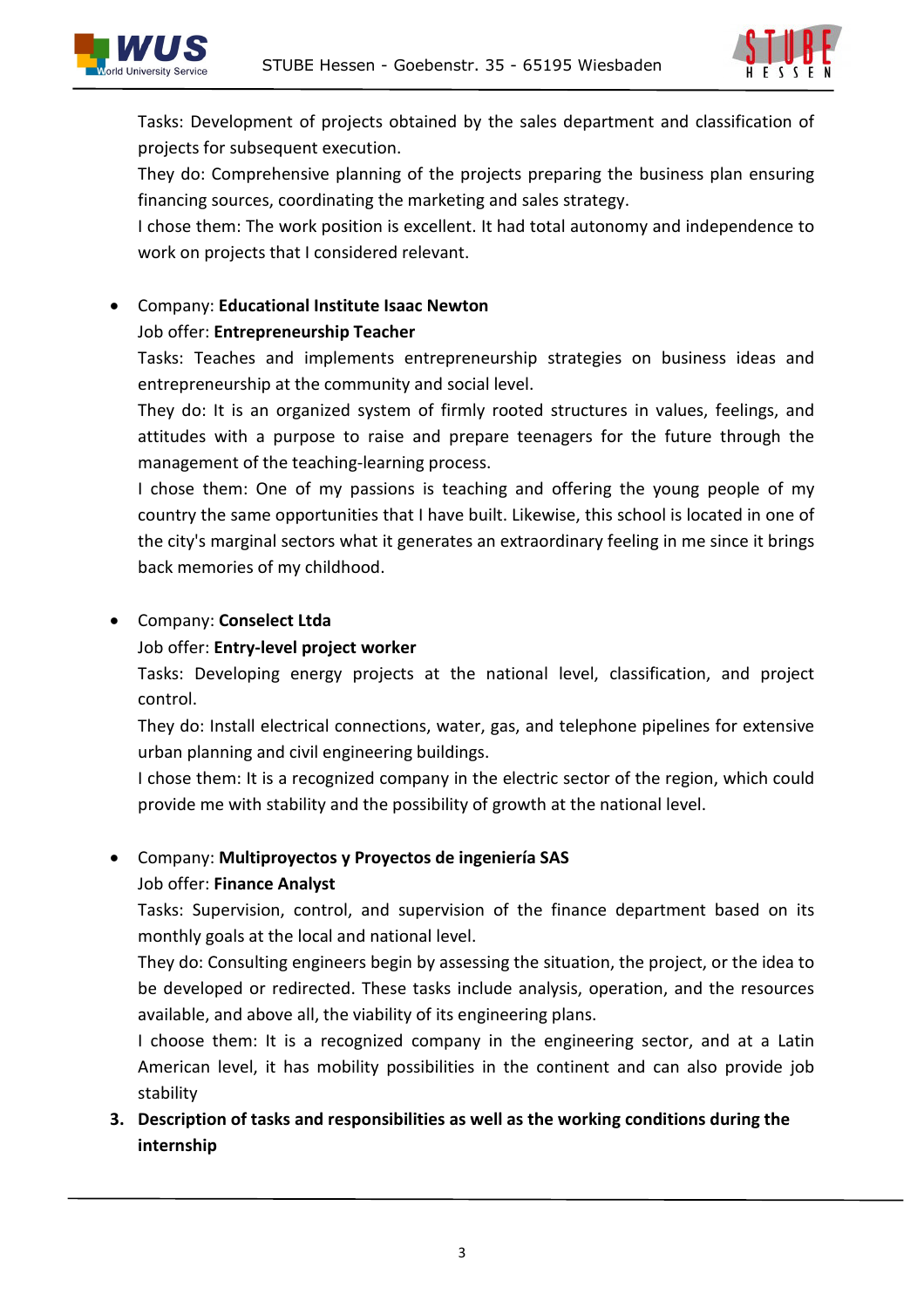



Tasks: Development of projects obtained by the sales department and classification of projects for subsequent execution.

They do: Comprehensive planning of the projects preparing the business plan ensuring financing sources, coordinating the marketing and sales strategy.

I chose them: The work position is excellent. It had total autonomy and independence to work on projects that I considered relevant.

## Company: **Educational Institute Isaac Newton**

#### Job offer: **Entrepreneurship Teacher**

Tasks: Teaches and implements entrepreneurship strategies on business ideas and entrepreneurship at the community and social level.

They do: It is an organized system of firmly rooted structures in values, feelings, and attitudes with a purpose to raise and prepare teenagers for the future through the management of the teaching-learning process.

I chose them: One of my passions is teaching and offering the young people of my country the same opportunities that I have built. Likewise, this school is located in one of the city's marginal sectors what it generates an extraordinary feeling in me since it brings back memories of my childhood.

#### Company: **Conselect Ltda**

#### Job offer: **Entry-level project worker**

Tasks: Developing energy projects at the national level, classification, and project control.

They do: Install electrical connections, water, gas, and telephone pipelines for extensive urban planning and civil engineering buildings.

I chose them: It is a recognized company in the electric sector of the region, which could provide me with stability and the possibility of growth at the national level.

#### Company: **Multiproyectos y Proyectos de ingeniería SAS**

#### Job offer: **Finance Analyst**

Tasks: Supervision, control, and supervision of the finance department based on its monthly goals at the local and national level.

They do: Consulting engineers begin by assessing the situation, the project, or the idea to be developed or redirected. These tasks include analysis, operation, and the resources available, and above all, the viability of its engineering plans.

I choose them: It is a recognized company in the engineering sector, and at a Latin American level, it has mobility possibilities in the continent and can also provide job stability

#### **3. Description of tasks and responsibilities as well as the working conditions during the internship**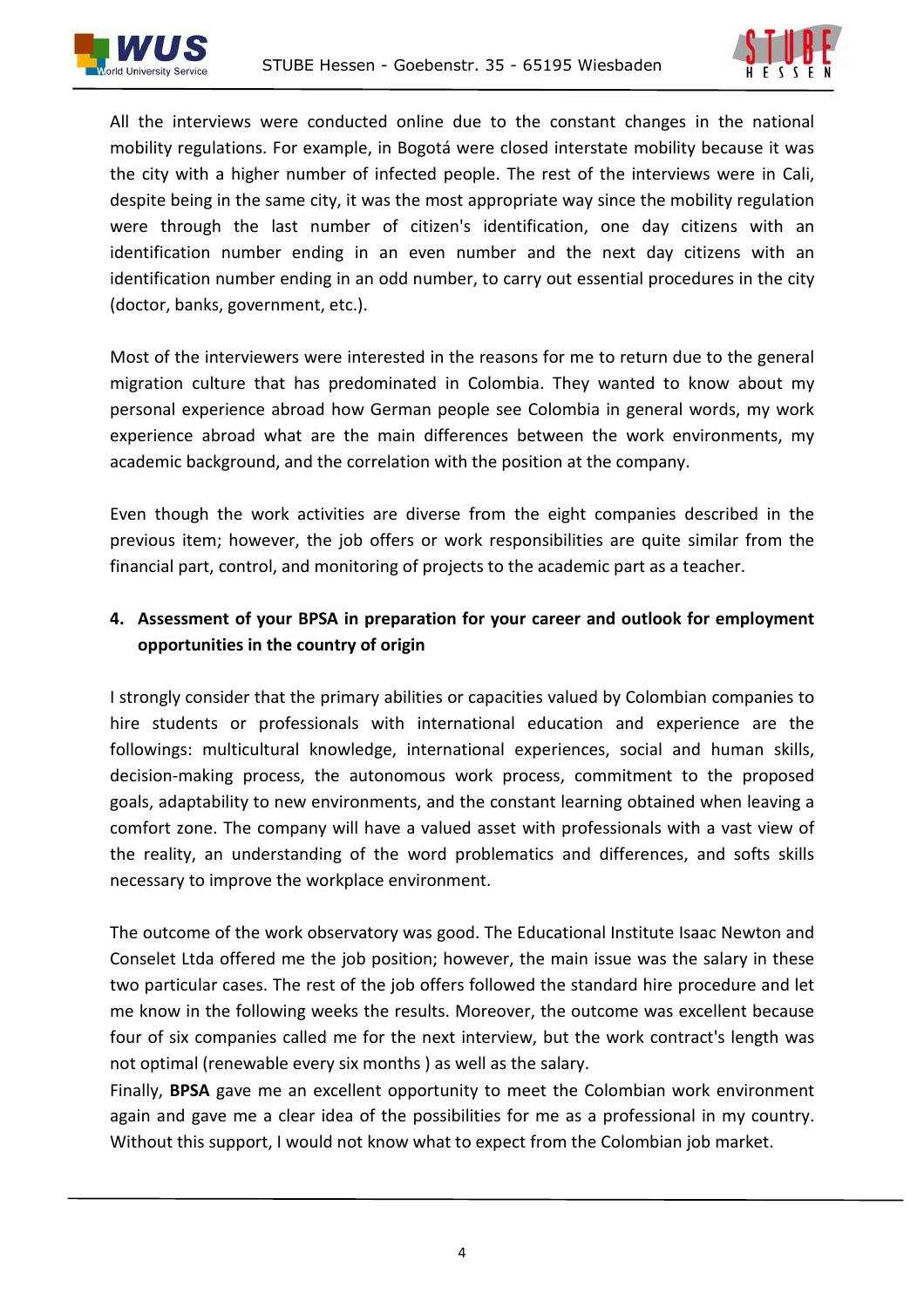



All the interviews were conducted online due to the constant changes in the national mobility regulations. For example, in Bogotá were closed interstate mobility because it was the city with a higher number of infected people. The rest of the interviews were in Cali, despite being in the same city, it was the most appropriate way since the mobility regulation were through the last number of citizen's identification, one day citizens with an identification number ending in an even number and the next day citizens with an identification number ending in an odd number, to carry out essential procedures in the city (doctor, banks, government, etc.).

Most of the interviewers were interested in the reasons for me to return due to the general migration culture that has predominated in Colombia. They wanted to know about my personal experience abroad how German people see Colombia in general words, my work experience abroad what are the main differences between the work environments, my academic background, and the correlation with the position at the company.

Even though the work activities are diverse from the eight companies described in the previous item; however, the job offers or work responsibilities are quite similar from the financial part, control, and monitoring of projects to the academic part as a teacher.

#### **4. Assessment of your BPSA in preparation for your career and outlook for employment opportunities in the country of origin**

I strongly consider that the primary abilities or capacities valued by Colombian companies to hire students or professionals with international education and experience are the followings: multicultural knowledge, international experiences, social and human skills, decision-making process, the autonomous work process, commitment to the proposed goals, adaptability to new environments, and the constant learning obtained when leaving a comfort zone. The company will have a valued asset with professionals with a vast view of the reality, an understanding of the word problematics and differences, and softs skills necessary to improve the workplace environment.

The outcome of the work observatory was good. The Educational Institute Isaac Newton and Conselet Ltda offered me the job position; however, the main issue was the salary in these two particular cases. The rest of the job offers followed the standard hire procedure and let me know in the following weeks the results. Moreover, the outcome was excellent because four of six companies called me for the next interview, but the work contract's length was not optimal (renewable every six months ) as well as the salary.

Finally, **BPSA** gave me an excellent opportunity to meet the Colombian work environment again and gave me a clear idea of the possibilities for me as a professional in my country. Without this support, I would not know what to expect from the Colombian job market.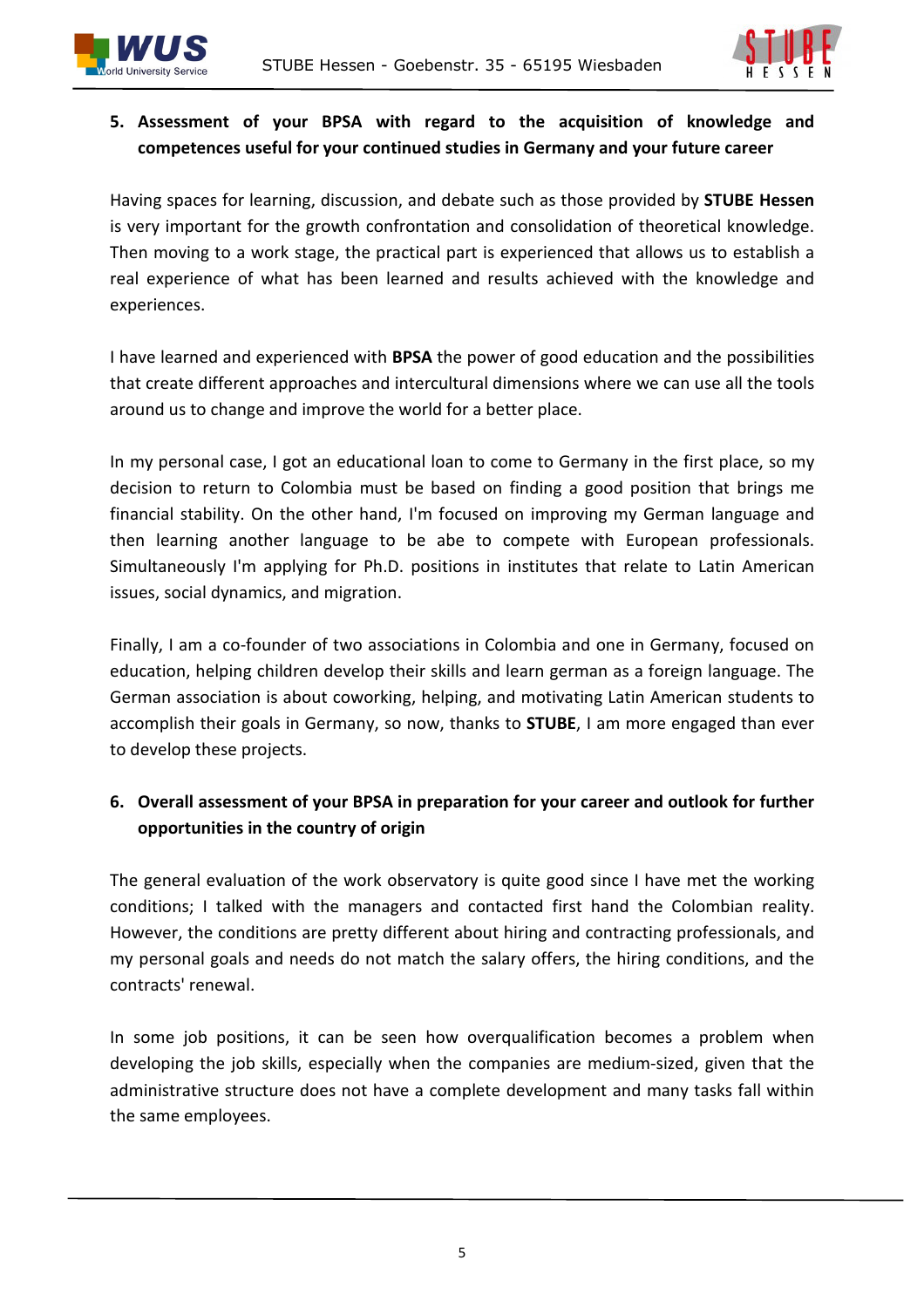



#### **5. Assessment of your BPSA with regard to the acquisition of knowledge and competences useful for your continued studies in Germany and your future career**

Having spaces for learning, discussion, and debate such as those provided by **STUBE Hessen**  is very important for the growth confrontation and consolidation of theoretical knowledge. Then moving to a work stage, the practical part is experienced that allows us to establish a real experience of what has been learned and results achieved with the knowledge and experiences.

I have learned and experienced with **BPSA** the power of good education and the possibilities that create different approaches and intercultural dimensions where we can use all the tools around us to change and improve the world for a better place.

In my personal case, I got an educational loan to come to Germany in the first place, so my decision to return to Colombia must be based on finding a good position that brings me financial stability. On the other hand, I'm focused on improving my German language and then learning another language to be abe to compete with European professionals. Simultaneously I'm applying for Ph.D. positions in institutes that relate to Latin American issues, social dynamics, and migration.

Finally, I am a co-founder of two associations in Colombia and one in Germany, focused on education, helping children develop their skills and learn german as a foreign language. The German association is about coworking, helping, and motivating Latin American students to accomplish their goals in Germany, so now, thanks to **STUBE**, I am more engaged than ever to develop these projects.

#### **6. Overall assessment of your BPSA in preparation for your career and outlook for further opportunities in the country of origin**

The general evaluation of the work observatory is quite good since I have met the working conditions; I talked with the managers and contacted first hand the Colombian reality. However, the conditions are pretty different about hiring and contracting professionals, and my personal goals and needs do not match the salary offers, the hiring conditions, and the contracts' renewal.

In some job positions, it can be seen how overqualification becomes a problem when developing the job skills, especially when the companies are medium-sized, given that the administrative structure does not have a complete development and many tasks fall within the same employees.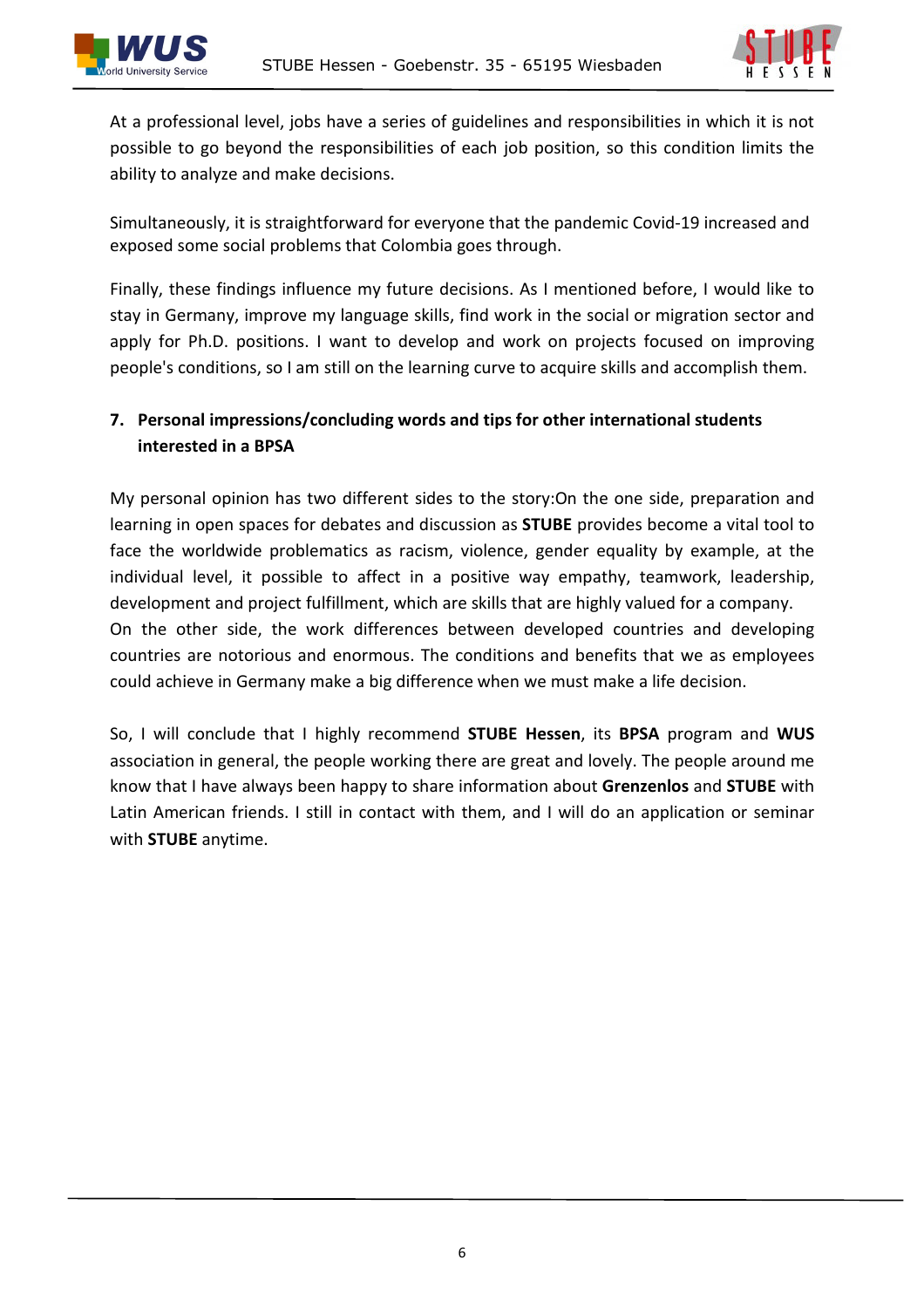

At a professional level, jobs have a series of guidelines and responsibilities in which it is not possible to go beyond the responsibilities of each job position, so this condition limits the ability to analyze and make decisions.

Simultaneously, it is straightforward for everyone that the pandemic Covid-19 increased and exposed some social problems that Colombia goes through.

Finally, these findings influence my future decisions. As I mentioned before, I would like to stay in Germany, improve my language skills, find work in the social or migration sector and apply for Ph.D. positions. I want to develop and work on projects focused on improving people's conditions, so I am still on the learning curve to acquire skills and accomplish them.

#### **7. Personal impressions/concluding words and tips for other international students interested in a BPSA**

My personal opinion has two different sides to the story:On the one side, preparation and learning in open spaces for debates and discussion as **STUBE** provides become a vital tool to face the worldwide problematics as racism, violence, gender equality by example, at the individual level, it possible to affect in a positive way empathy, teamwork, leadership, development and project fulfillment, which are skills that are highly valued for a company. On the other side, the work differences between developed countries and developing countries are notorious and enormous. The conditions and benefits that we as employees could achieve in Germany make a big difference when we must make a life decision.

So, I will conclude that I highly recommend **STUBE Hessen**, its **BPSA** program and **WUS** association in general, the people working there are great and lovely. The people around me know that I have always been happy to share information about **Grenzenlos** and **STUBE** with Latin American friends. I still in contact with them, and I will do an application or seminar with **STUBE** anytime.